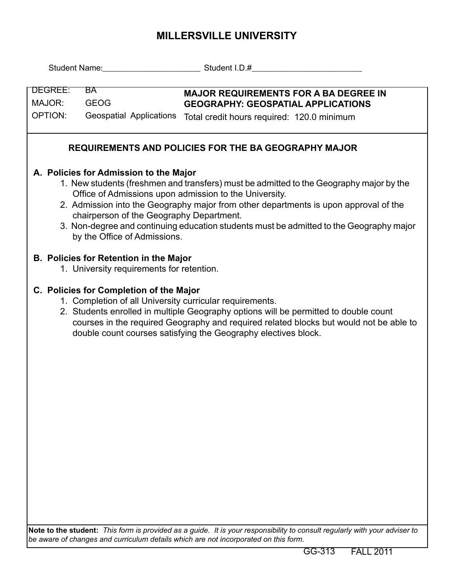## **MILLERSVILLE UNIVERSITY**

| Student Name: Student I.D.#                                                                                                                                                                                                                                                                                                                                                                                                                                |                                                                                                                                                                                                                                                                                                                                                         |                                                                                                                                         |  |  |  |  |  |  |  |
|------------------------------------------------------------------------------------------------------------------------------------------------------------------------------------------------------------------------------------------------------------------------------------------------------------------------------------------------------------------------------------------------------------------------------------------------------------|---------------------------------------------------------------------------------------------------------------------------------------------------------------------------------------------------------------------------------------------------------------------------------------------------------------------------------------------------------|-----------------------------------------------------------------------------------------------------------------------------------------|--|--|--|--|--|--|--|
| DEGREE:<br><b>BA</b><br>MAJOR:<br><b>GEOG</b><br><b>OPTION:</b><br>Geospatial Applications                                                                                                                                                                                                                                                                                                                                                                 |                                                                                                                                                                                                                                                                                                                                                         | <b>MAJOR REQUIREMENTS FOR A BA DEGREE IN</b><br><b>GEOGRAPHY: GEOSPATIAL APPLICATIONS</b><br>Total credit hours required: 120.0 minimum |  |  |  |  |  |  |  |
| <b>REQUIREMENTS AND POLICIES FOR THE BA GEOGRAPHY MAJOR</b>                                                                                                                                                                                                                                                                                                                                                                                                |                                                                                                                                                                                                                                                                                                                                                         |                                                                                                                                         |  |  |  |  |  |  |  |
| A. Policies for Admission to the Major<br>1. New students (freshmen and transfers) must be admitted to the Geography major by the<br>Office of Admissions upon admission to the University.<br>2. Admission into the Geography major from other departments is upon approval of the<br>chairperson of the Geography Department.<br>3. Non-degree and continuing education students must be admitted to the Geography major<br>by the Office of Admissions. |                                                                                                                                                                                                                                                                                                                                                         |                                                                                                                                         |  |  |  |  |  |  |  |
|                                                                                                                                                                                                                                                                                                                                                                                                                                                            | <b>B. Policies for Retention in the Major</b><br>1. University requirements for retention.                                                                                                                                                                                                                                                              |                                                                                                                                         |  |  |  |  |  |  |  |
|                                                                                                                                                                                                                                                                                                                                                                                                                                                            | C. Policies for Completion of the Major<br>1. Completion of all University curricular requirements.<br>2. Students enrolled in multiple Geography options will be permitted to double count<br>courses in the required Geography and required related blocks but would not be able to<br>double count courses satisfying the Geography electives block. |                                                                                                                                         |  |  |  |  |  |  |  |
|                                                                                                                                                                                                                                                                                                                                                                                                                                                            |                                                                                                                                                                                                                                                                                                                                                         |                                                                                                                                         |  |  |  |  |  |  |  |
|                                                                                                                                                                                                                                                                                                                                                                                                                                                            |                                                                                                                                                                                                                                                                                                                                                         | Note to the student: This form is provided as a guide. It is your responsibility to consult regularly with your adviser to              |  |  |  |  |  |  |  |

**Note to the student:** *This form is provided as a guide. It is your responsibility to consult regularly with your adviser to be aware of changes and curriculum details which are not incorporated on this form.*